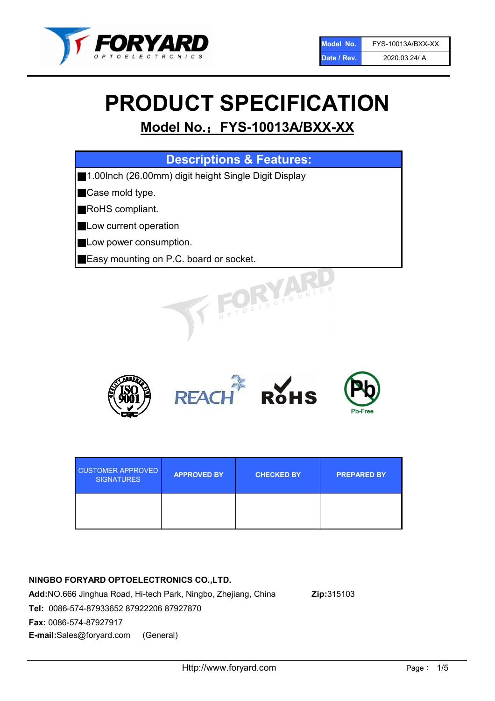

# PRODUCT SPECIFICATION

# Model No.: FYS-10013A/BXX-XX

| <b>Descriptions &amp; Features:</b>                  |
|------------------------------------------------------|
| 1.00lnch (26.00mm) digit height Single Digit Display |
| Case mold type.                                      |
| RoHS compliant.                                      |
| Low current operation                                |
| Low power consumption.                               |
| Easy mounting on P.C. board or socket.               |
| TOELECTRONIC.                                        |



| <b>CUSTOMER APPROVED</b><br><b>SIGNATURES</b> | <b>APPROVED BY</b> | <b>CHECKED BY</b> | <b>PREPARED BY</b> |
|-----------------------------------------------|--------------------|-------------------|--------------------|
|                                               |                    |                   |                    |

# NINGBO FORYARD OPTOELECTRONICS CO.,LTD.

Add:NO.666 Jinghua Road, Hi-tech Park, Ningbo, Zhejiang, China Zip:315103 Tel: 0086-574-87933652 87922206 87927870 Fax: 0086-574-87927917 E-mail:Sales@foryard.com (General)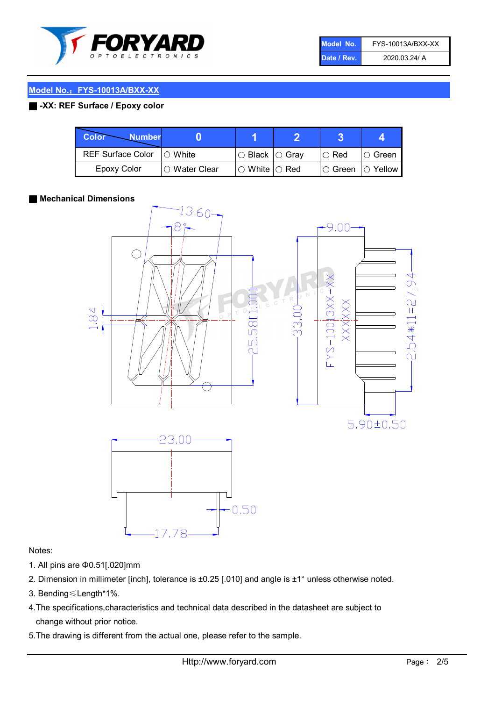

| Model No.   | FYS-10013A/BXX-XX |
|-------------|-------------------|
| Date / Rev. | 2020.03.24/ A     |

# Model No.: FYS-10013A/BXX-XX

### ■ -XX: REF Surface / Epoxy color

| Color<br><b>Number</b>     |               |                            |               |                |
|----------------------------|---------------|----------------------------|---------------|----------------|
| REF Surface Color  ○ White |               | $\circ$ Black $\circ$ Gray | $\circ$ Red   | $\circ$ Green  |
| <b>Epoxy Color</b>         | ○ Water Clear | $\circ$ White $\circ$ Red  | $\circ$ Green | $\circ$ Yellow |

#### ■ Mechanical Dimensions



#### Notes:

- 1. All pins are Φ0.51[.020]mm
- 2. Dimension in millimeter [inch], tolerance is ±0.25 [.010] and angle is ±1° unless otherwise noted.
- 3. Bending≤Length\*1%.
- 4.The specifications,characteristics and technical data described in the datasheet are subject to change without prior notice.
- 5.The drawing is different from the actual one, please refer to the sample.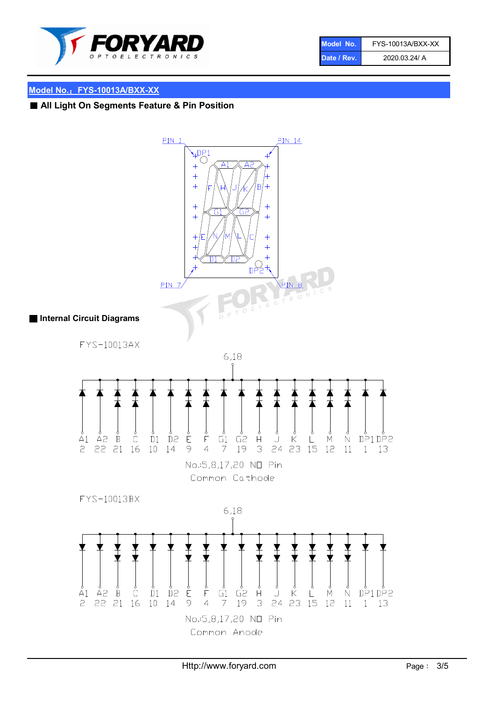

| Model No.   | FYS-10013A/BXX-XX |
|-------------|-------------------|
| Date / Rev. | 2020.03.24/ A     |

# Model No.: FYS-10013A/BXX-XX

# ■ All Light On Segments Feature & Pin Position

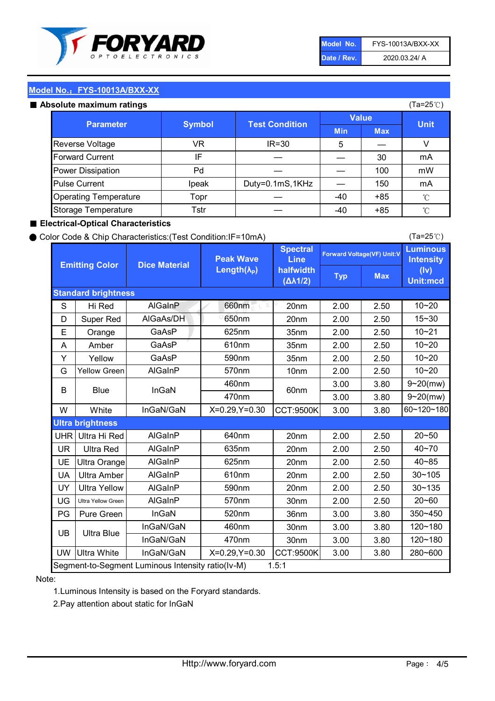

| Model No.   | FYS-10013A/BXX-XX |
|-------------|-------------------|
| Date / Rev. | 2020.03.24/ A     |

(Ta=25℃)

#### Model No.: FYS-10013A/BXX-XX

#### Absolute maximum ratings

| solute maximum ratings       |               |                       |              |            | (Ta=25℃)    |
|------------------------------|---------------|-----------------------|--------------|------------|-------------|
| <b>Parameter</b>             | <b>Symbol</b> | <b>Test Condition</b> | <b>Value</b> |            |             |
|                              |               |                       | <b>Min</b>   | <b>Max</b> | <b>Unit</b> |
| Reverse Voltage              | VR            | $IR = 30$             | 5            |            |             |
| <b>Forward Current</b>       | ΙF            |                       |              | 30         | mA          |
| Power Dissipation            | Pd            |                       |              | 100        | mW          |
| <b>Pulse Current</b>         | Ipeak         | Duty=0.1mS,1KHz       |              | 150        | mA          |
| <b>Operating Temperature</b> | Topr          |                       | $-40$        | $+85$      | °C          |
| Storage Temperature          | Tstr          |                       | $-40$        | $+85$      | °C          |

#### ■ Electrical-Optical Characteristics

#### ● Color Code & Chip Characteristics:(Test Condition:IF=10mA)

Typ Max S | Hi $\textsf{Red}$  | AlGaInP | 660nm LE 20nm | 2.00 | 2.50 D | Super Red | AIGaAs/DH | 650nm | 20nm | 2.00 | 2.50 E | Orange | GaAsP | 625nm | 35nm | 2.00 | 2.50 A | Amber | GaAsP | 610nm | 35nm | 2.00 | 2.50 Y | Yellow | GaAsP | 590nm | 35nm | 2.00 | 2.50 G Yellow Green AIGaInP | 570nm | 10nm | 2.00 | 2.50 3.00 3.80 3.00 3.80 W | White | InGaN/GaN | X=0.29,Y=0.30 |CCT:9500K| 3.00 | 3.80 UHR Ultra Hi Red | AlGaInP | 640nm | 20nm | 2.00 | 2.50 UR | Ultra Red | AlGaInP | 635nm | 20nm | 2.00 | 2.50 UE Ultra Orange | AIGaInP | 625nm | 20nm | 2.00 | 2.50 UA Ultra Amber | AIGaInP | 610nm | 20nm | 2.00 | 2.50  $UV$  Ultra Yellow  $\vert$  AlGaInP  $\vert$  590nm  $\vert$  20nm  $\vert$  2.00  $\vert$  2.50  $\text{UG}$  Ultra Yellow Green | AIGaInP | 570nm | 30nm | 2.00 | 2.50 PG Pure Green | InGaN | 520nm | 36nm | 3.00 | 3.80 30nm 3.00 3.80 30nm 3.00 3.80 UW |Ultra White | InGaN/GaN | X=0.29,Y=0.30 |CCT:9500K| 3.00 | 3.80 40~85 60~120~180 40~70 Segment-to-Segment Luminous Intensity ratio(Iv-M) 1.5:1 610nm 9~20(mw) 350~450 470nm 120~180 120~180 Ultra Blue InGaN/GaN InGaN/GaN 9~20(mw) 20~50 280~600 570nm | 30nm | 2.00 | 2.50 | 20~60 470nm 590nm InGaN/GaN B Blue I InGaN 570nm | 10nm | 2.00 | 2.50 | 10~20 30~105 30~135 460nm 520nm Ultra brightness **AlGaInP** AlGaInP 60nm AlGaInP 640nm Peak Wave Length $(\lambda_{\rm P})$ UB 460nm 635nm AlGaInP AlGaInP AlGaInP InGaN/GaN AlGaInP 10~20 Luminous **Intensity** (Iv) Unit:mcd AlGainP 660nm GaAsP GaAsP AlGaAs/DH **Spectral** Line halfwidth (∆λ1/2) 10~20 Standard brightness Forward Voltage(VF) Unit:V 15~30 10~20 625nm GaAsP 590nm **Emitting Color Dice Material** 10~21 610nm

#### Note:

1.Luminous Intensity is based on the Foryard standards.

2.Pay attention about static for InGaN